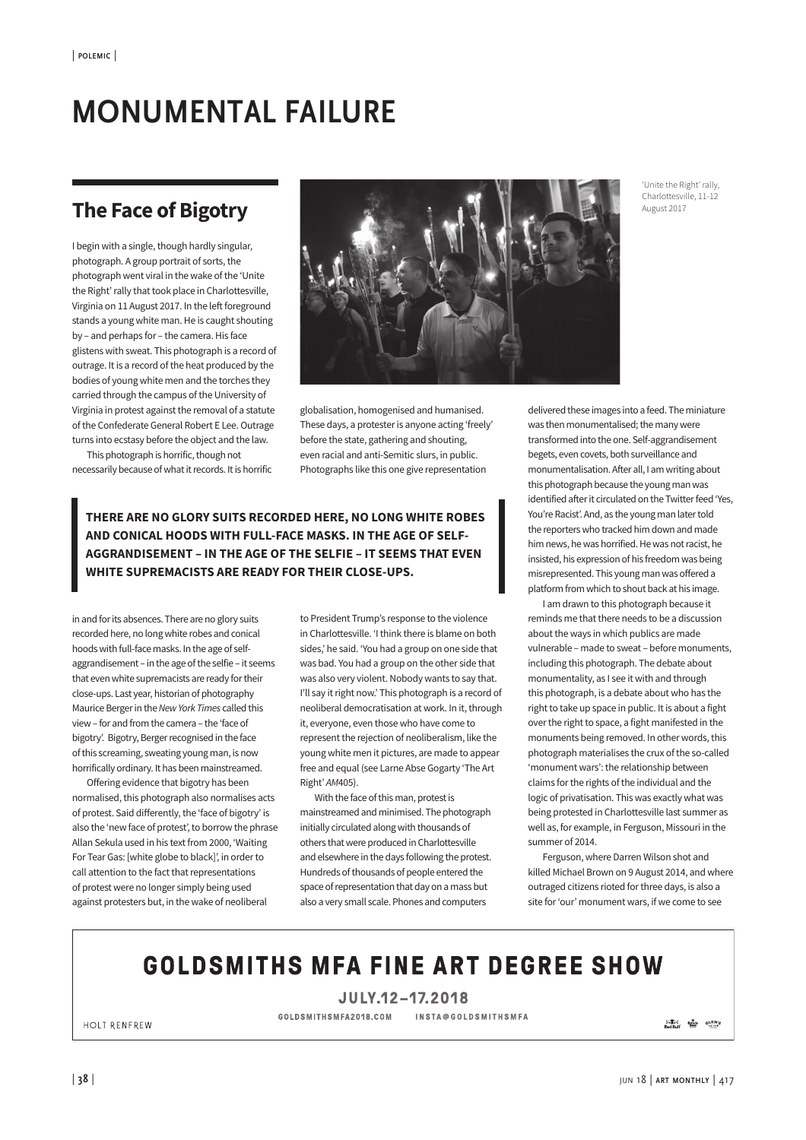## **MONUMENTAL FAILURE**

## **The Face of Bigotry**

I begin with a single, though hardly singular, photograph. A group portrait of sorts, the photograph went viral in the wake of the 'Unite the Right' rally that took place in Charlottesville, Virginia on 11 August 2017. In the left foreground stands a young white man. He is caught shouting by – and perhaps for – the camera. His face glistens with sweat. This photograph is a record of outrage. It is a record of the heat produced by the bodies of young white men and the torches they carried through the campus of the University of Virginia in protest against the removal of a statute of the Confederate General Robert E Lee. Outrage turns into ecstasy before the object and the law.

This photograph is horrific, though not necessarily because of what it records. It is horrific



globalisation, homogenised and humanised. These days, a protester is anyone acting 'freely' before the state, gathering and shouting, even racial and anti-Semitic slurs, in public. Photographs like this one give representation

**THERE ARE NO GLORY SUITS RECORDED HERE, NO LONG WHITE ROBES AND CONICAL HOODS WITH FULL-FACE MASKS. IN THE AGE OF SELF-AGGRANDISEMENT – IN THE AGE OF THE SELFIE – IT SEEMS THAT EVEN WHITE SUPREMACISTS ARE READY FOR THEIR CLOSE-UPS.**

in and for its absences. There are no glory suits recorded here, no long white robes and conical hoods with full-face masks. In the age of selfaggrandisement – in the age of the selfie – it seems that even white supremacists are ready for their close-ups. Last year, historian of photography Maurice Berger in the *New York Times* called this view – for and from the camera – the 'face of bigotry'. Bigotry, Berger recognised in the face of this screaming, sweating young man, is now horrifically ordinary. It has been mainstreamed.

Offering evidence that bigotry has been normalised, this photograph also normalises acts of protest. Said diferently, the 'face of bigotry' is also the 'new face of protest', to borrow the phrase Allan Sekula used in his text from 2000, 'Waiting For Tear Gas: [white globe to black]', in order to call attention to the fact that representations of protest were no longer simply being used against protesters but, in the wake of neoliberal

to President Trump's response to the violence in Charlottesville. 'I think there is blame on both sides,' he said. 'You had a group on one side that was bad. You had a group on the other side that was also very violent. Nobody wants to say that. I'll say it right now.' This photograph is a record of neoliberal democratisation at work. In it, through it, everyone, even those who have come to represent the rejection of neoliberalism, like the young white men it pictures, are made to appear free and equal (see Larne Abse Gogarty 'The Art Right' *AM*405).

With the face of this man, protest is mainstreamed and minimised. The photograph initially circulated along with thousands of others that were produced in Charlottesville and elsewhere in the days following the protest. Hundreds of thousands of people entered the space of representation that day on a mass but also a very small scale. Phones and computers

delivered these images into a feed. The miniature was then monumentalised; the many were transformed into the one. Self-aggrandisement begets, even covets, both surveillance and monumentalisation. After all, I am writing about this photograph because the young man was identified afer it circulated on the Twitter feed 'Yes, You're Racist'. And, as the young man later told the reporters who tracked him down and made him news, he was horrified. He was not racist, he insisted, his expression of his freedom was being misrepresented. This young man was ofered a platform from which to shout back at his image.

I am drawn to this photograph because it reminds me that there needs to be a discussion about the ways in which publics are made vulnerable – made to sweat – before monuments, including this photograph. The debate about monumentality, as I see it with and through this photograph, is a debate about who has the right to take up space in public. It is about a fight over the right to space, a fight manifested in the monuments being removed. In other words, this photograph materialises the crux of the so-called 'monument wars': the relationship between claims for the rights of the individual and the logic of privatisation. This was exactly what was being protested in Charlottesville last summer as well as, for example, in Ferguson, Missouri in the summer of 2014.

Ferguson, where Darren Wilson shot and killed Michael Brown on 9 August 2014, and where outraged citizens rioted for three days, is also a site for 'our' monument wars, if we come to see

## **GOLDSMITHS MFA FINE ART DEGREE SHOW**

JULY.12-17.2018

GOLDSMITHSMFA2018.COM INSTA@GOLDSMITHSMFA

**SEN ENGINEER'S**<br>Red Bull **Communist Communist** 

HOLT RENFREW